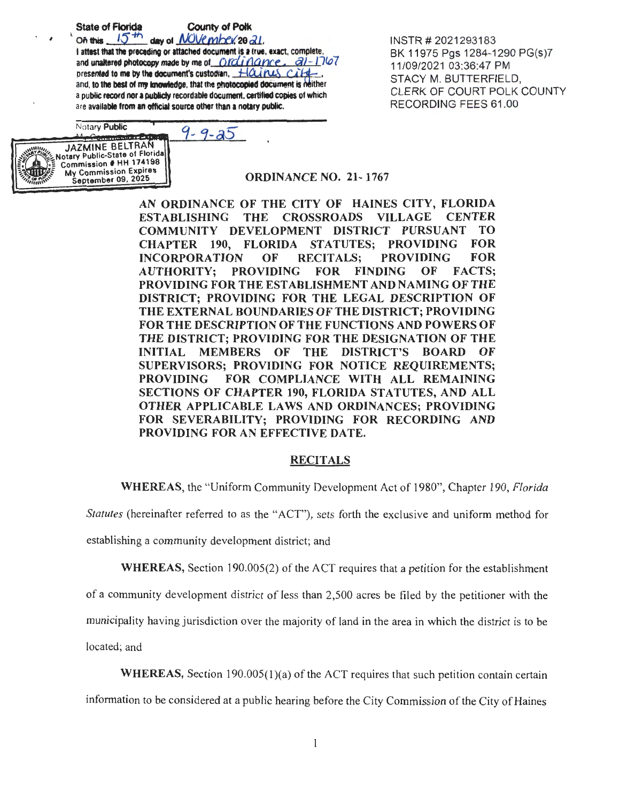**State of Florida** 

**County of Polk** 

 $15<sup>th</sup>$ day of NOVember 20 21. On this I attest that the preceding or attached document is a true, exact, complete, and unaltered photocopy made by me of Ordinance.  $a1 - 1767$ presented to me by the document's custodian,  $H\alpha$  $c$ ite. and, to the best of my knowledge, that the photocopied document is neither a public record nor a publicly recordable document, certified copies of which are available from an official source other than a notary public.

INSTR # 2021293183 BK 11975 Pgs 1284-1290 PG(s)7 11/09/2021 03:36:47 PM STACY M. BUTTERFIELD, CLERK OF COURT POLK COUNTY RECORDING FEES 61.00

Notary Public  $9 - 9 - 25$ **Commission Ed** JAZMINE BELTRAN otary Public-State of Florida Commission # HH 174198 **My Commission Expires** September 09, 2025

**ORDINANCE NO. 21-1767** 

AN ORDINANCE OF THE CITY OF HAINES CITY, FLORIDA **ESTABLISHING THE CROSSROADS VILLAGE CENTER** COMMUNITY DEVELOPMENT DISTRICT PURSUANT TO<sub>1</sub> CHAPTER 190, **FLORIDA STATUTES; PROVIDING FOR INCORPORATION** OF **RECITALS: PROVIDING FOR AUTHORITY: FOR FINDING** OF **FACTS: PROVIDING** PROVIDING FOR THE ESTABLISHMENT AND NAMING OF THE DISTRICT; PROVIDING FOR THE LEGAL DESCRIPTION OF THE EXTERNAL BOUNDARIES OF THE DISTRICT; PROVIDING FOR THE DESCRIPTION OF THE FUNCTIONS AND POWERS OF THE DISTRICT; PROVIDING FOR THE DESIGNATION OF THE **INITIAL MEMBERS OF** THE DISTRICT'S BOARD OF SUPERVISORS; PROVIDING FOR NOTICE REOUIREMENTS; FOR COMPLIANCE WITH ALL REMAINING **PROVIDING SECTIONS OF CHAPTER 190, FLORIDA STATUTES, AND ALL** OTHER APPLICABLE LAWS AND ORDINANCES; PROVIDING FOR SEVERABILITY: PROVIDING FOR RECORDING AND PROVIDING FOR AN EFFECTIVE DATE.

#### **RECITALS**

**WHEREAS**, the "Uniform Community Development Act of 1980", Chapter 190, Florida

*Statutes* (hereinafter referred to as the "ACT"), sets forth the exclusive and uniform method for

establishing a community development district; and

**WHEREAS, Section 190.005(2) of the ACT requires that a petition for the establishment** 

of a community development district of less than 2,500 acres be filed by the petitioner with the

municipality having jurisdiction over the majority of land in the area in which the district is to be

located; and

**WHEREAS,** Section 190.005(1)(a) of the ACT requires that such petition contain certain

information to be considered at a public hearing before the City Commission of the City of Haines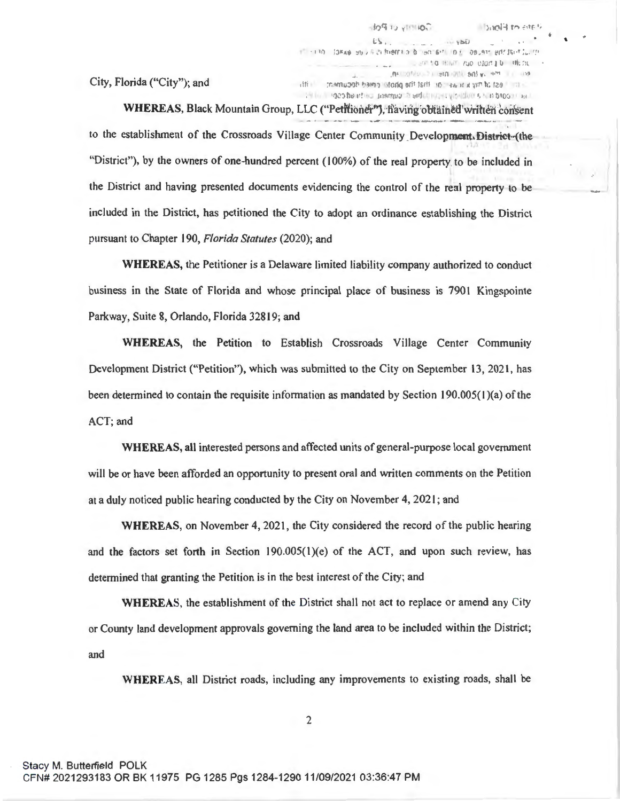City, Florida ("City"); and

Lere to must rue close to the sk  $\overline{\phantom{a}}$ RELIGION OF BREATHERS IT CONTINUES. atti ta my k ir will or Biat for photo ened decument. I itti the integeo hearthic snamup in either my products has brooking

 $ES$ . 1 - 130 DEAN UD / F.2) RIGHTS D 001 6-1 01 08.931 887 36-11. 19

**JOHN UNITS** 

'

**DON'T TO STELL** 

WHEREAS, Black Mountain Group, LLC ("Petitioner"), having obtained written consent to the establishment of the Crossroads Village Center Community Development. District-(the "District"), by the owners of one-hundred percent (100%) of the real property to be included in the District and having presented documents evidencing the control of the real property to be included in the District, has petitioned the City to adopt an ordinance establishing the District pursuant to Chapter 190, *Florida Statutes* (2020); and

**WHEREAS,** the Petitioner is a Delaware limited liability company authorized to conduct business in the State of Florida and whose principal place of business is 7901 Kingspointe Parkway, Suite 8, Orlando, Florida 32819; and

**WHEREAS,** the Petition to Establish Crossroads Village Center Community Development District ("Petition"), which was submitted to the City on September 13, 2021, has been determined to contain the requisite information as mandated by Section 190.005(1)(a) of the ACT; and

**WHEREAS,** all interested persons and affected units of general-purpose local government will be or have been afforded an opportunity to present oral and written comments on the Petition at a duly noticed public hearing conducted by the City on November 4, 202 **l;** and

**WHEREAS,** on November 4, 2021, the City considered the record of the public hearing and the factors set forth in Section 190.00S(l)(e) of the ACT, and upon such review, has determined that granting the Petition is in the best interest of the City; and

**WHEREAS,** the establishment of the District shall not act to replace or amend any City or County land development approvals governing the land area to be included within the District; and

**WHEREAS,** all District roads, including any improvements to existing roads, shall be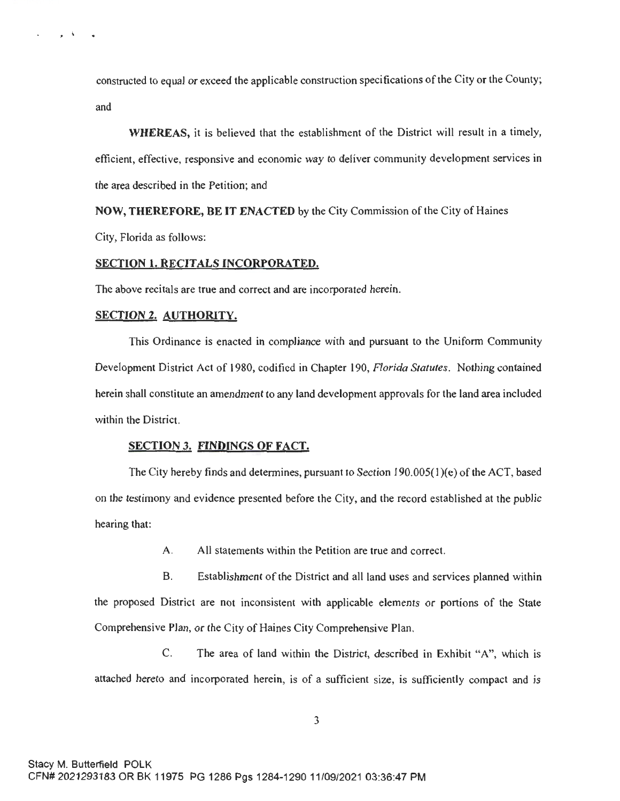constructed to equal or exceed the applicable construction specifications of the City or the County; and

**WHEREAS,** it is believed that the establishment of the District will result in a timely, efficient, effective, responsive and economic way to deliver community development services in the area described in the Petition; and

**NOW, THEREFORE, BE IT ENACTED** by the City Commission of the City of Haines City, Florida as follows:

#### **SECTION 1. RECITALS INCORPORATED.**

The above recitals are true and correct and are incorporated herein.

#### **SECTION 2. AUTHORITY.**

 $\lambda$ 

This Ordinance is enacted in compliance with and pursuant to the Uniform Community Development District Act of 1980, codified in Chapter 190, *Florida Statutes.* Nothing contained herein shall constitute an amendment to any land development approvals for the land area included within the District.

#### **SECTION 3. FINDINGS OF FACT.**

The City hereby finds and determines, pursuant to Section 190.005(1 )(e) of the ACT, based on the testimony and evidence presented before the City, and the record established at the public hearing that:

A. All statements within the Petition are true and correct.

B. Establishment of the District and all land uses and services planned within the proposed District are not inconsistent with applicable elements or portions of the State Comprehensive Plan, or the City of Haines City Comprehensive Plan.

C. The area of land within the District, described in Exhibit "A", which is attached hereto and incorporated herein, is of a sufficient size, is sufficiently compact and is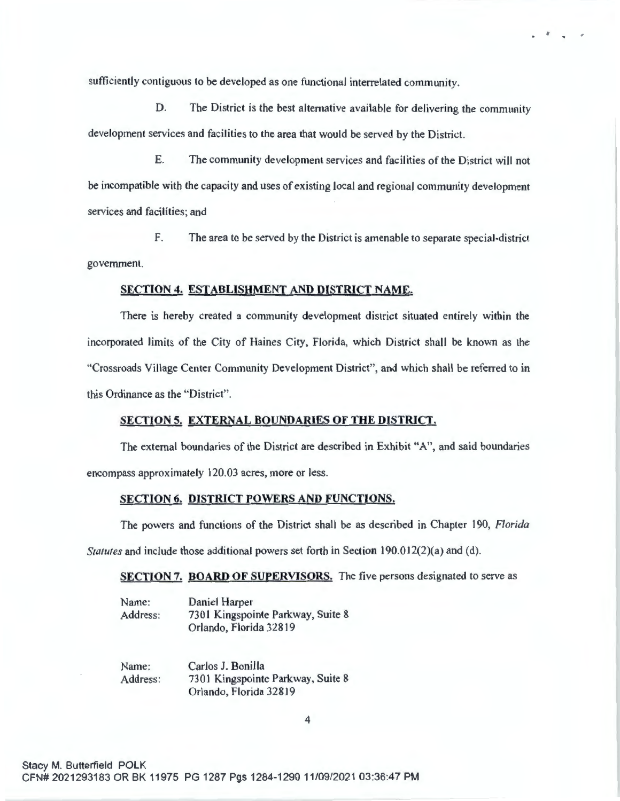sufficiently contiguous to be developed as one functional interrelated community.

D. The District is the best alternative available for delivering the community development services and facilities to the area that would be served by the District.

 $\mathcal{L} = \mathcal{L} = \mathcal{L}$ 

E. The community development services and facilities of the District will not be incompatible with the capacity and uses of existing local and regional community development services and facilities; and

F. The area to be served by the District is amenable to separate special-district government.

#### **SECTION 4. ESTABLISHMENT AND DISTRICT NAME.**

There is hereby created a community development district situated entirely within the incorporated limits of the City of Haines City, Florida, which District shall be known as the "Crossroads Village Center Community Development District", and which shall be referred to in this Ordinance as the "District".

### **SECTION 5. EXTERNAL BOUNDARIES OF THE DISTRICT.**

The external boundaries of the District are described in Exhibit "A", and said boundaries encompass approximately 120.03 acres, more or less.

#### **SECTION 6. DISTRICT POWERS AND FUNCTIONS.**

The powers and functions of the District shall be as described in Chapter 190, *Florida* 

*Statutes* and include those additional powers set forth in Section 190.012(2)(a) and (d).

**SECTION** 7. **BOARD OF SUPERVISORS.** The five persons designated to serve as

| Name:    | Daniel Harper                     |
|----------|-----------------------------------|
| Address: | 7301 Kingspointe Parkway, Suite 8 |
|          | Orlando, Florida 32819            |

Name: Address: Carlos J. Bonilla 7301 Kingspointe Parkway, Suite 8 Orlando, Florida 32819

4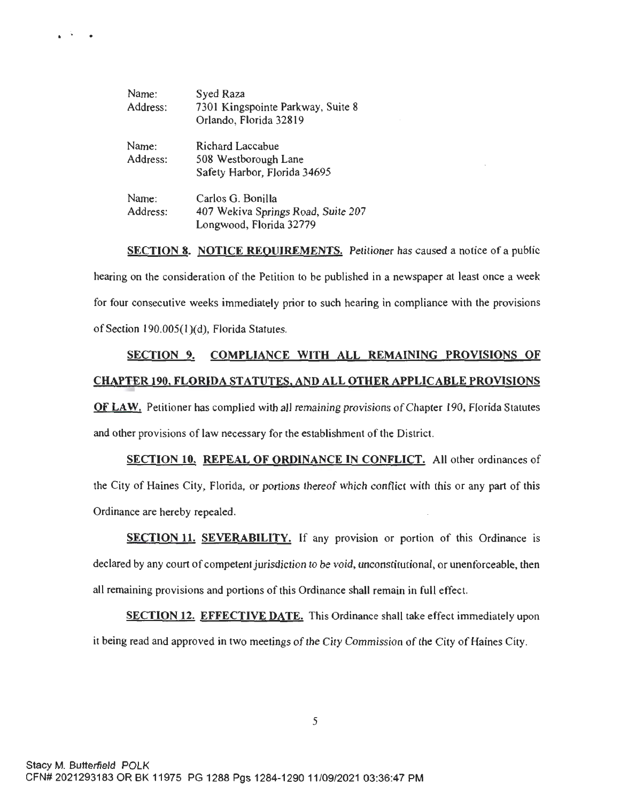| Name:    | Syed Raza                          |
|----------|------------------------------------|
| Address: | 7301 Kingspointe Parkway, Suite 8  |
|          | Orlando, Florida 32819             |
| Name:    | Richard Laccabue                   |
| Address: | 508 Westborough Lane               |
|          | Safety Harbor, Florida 34695       |
| Name:    | Carlos G. Bonilla                  |
| Address: | 407 Wekiva Springs Road, Suite 207 |
|          |                                    |

Longwood, Florida 32779

**SECTION 8. NOTICE REQUIREMENTS.** Petitioner has caused a notice of a public hearing on the consideration of the Petition to be published in a newspaper at least once a week for four consecutive weeks immediately prior to such hearing in compliance with the provisions of Section 190.005(l)(d), Florida Statutes.

# **SECTION 9. COMPLIANCE WITH ALL REMAINING PROVISIONS OF CHAPTER 190, FLORIDA STATUTES, AND ALL OTHER APPLICABLE PROVISIONS**

**OF LAW.** Petitioner has complied with all remaining provisions of Chapter 190, Florida Statutes and other provisions of law necessary for the establishment of the District.

**SECTION 10. REPEAL OF ORDINANCE IN CONFLICT.** All other ordinances of the City of Haines City, Florida, or portions thereof which conflict with this or any part of this Ordinance are hereby repealed.

**SECTION 11. SEVERABILITY.** If any provision or portion of this Ordinance is declared by any court of competent jurisdiction to be void, unconstitutional, or unenforceable, then all remaining provisions and portions of this Ordinance shall remain in full effect.

**SECTION 12. EFFECTIVE DATE.** This Ordinance shall take effect immediately upon it being read and approved in two meetings of the City Commission of the City of Haines City.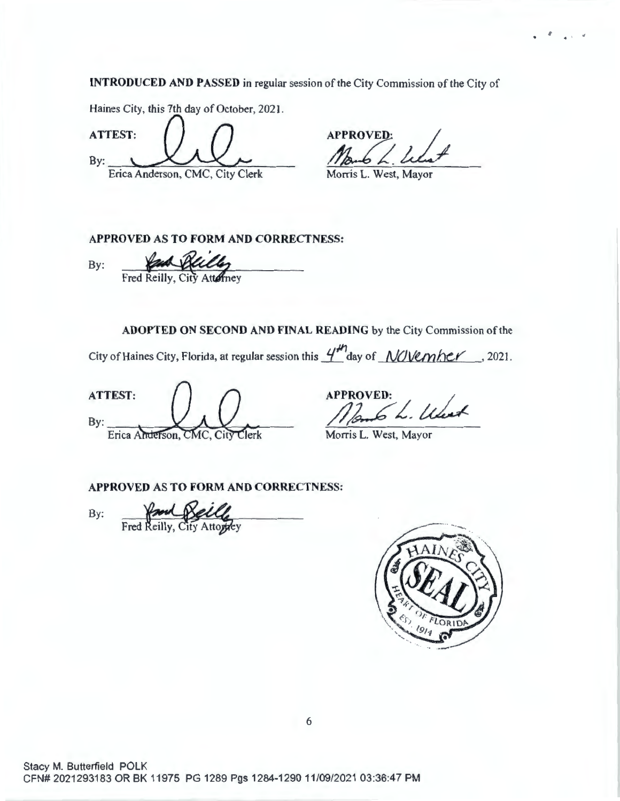**INTRODUCED AND PASSED** in regular session of the City Commission of the City of

Haines City, this 7th day of October, 2021.

**ATTEST:**   $By:$ CED AND PASSED in regular session of the  $\bigcup_{\text{this 7th day of October, 2021.}}$ Erica Anderson, CMC, City Clerk Morris L. West, Mayor

 $\mathcal{F} = \frac{1}{4}$ , where

**APPROVED AS TO FORM AND CORRECTNESS:** 

APPROVED AS TO FORM AND CORRECT!<br>By: Fred Reilly, City Attorney

**ADOPTED ON SECOND AND FINAL READING** by the City Commission of the

City of Haines City, Florida, at regular session this  $4^{11}$ day of *NOVember*, 2021.

ATTEST: By:<br>By: Erica Anterson, CMC, City Clerk Morris L. West, Mayor

Morris L. West, Mayor

**APPROVED AS TO FORM AND CORRECTNESS:** 

By: Fred Reilly, City Attorney